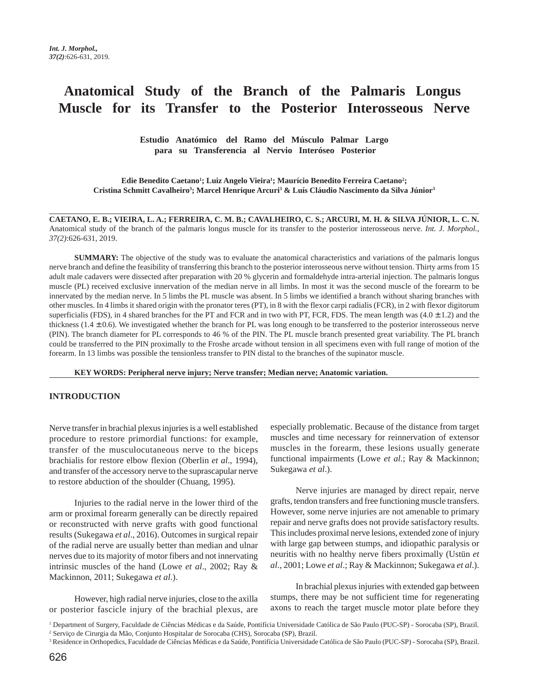# **Anatomical Study of the Branch of the Palmaris Longus Muscle for its Transfer to the Posterior Interosseous Nerve**

 **Estudio Anatómico del Ramo del Músculo Palmar Largo para su Transferencia al Nervio Interóseo Posterior**

**Edie Benedito Caetano1 ; Luiz Angelo Vieira1 ; Maurício Benedito Ferreira Caetano2 ;** Cristina Schmitt Cavalheiro<sup>3</sup>; Marcel Henrique Arcuri<sup>3</sup> & Luís Cláudio Nascimento da Silva Júnior<sup>3</sup>

**CAETANO, E. B.; VIEIRA, L. A.; FERREIRA, C. M. B.; CAVALHEIRO, C. S.; ARCURI, M. H. & SILVA JÚNIOR, L. C. N.** Anatomical study of the branch of the palmaris longus muscle for its transfer to the posterior interosseous nerve. *Int. J. Morphol., 37(2)*:626-631, 2019.

**SUMMARY:** The objective of the study was to evaluate the anatomical characteristics and variations of the palmaris longus nerve branch and define the feasibility of transferring this branch to the posterior interosseous nerve without tension. Thirty arms from 15 adult male cadavers were dissected after preparation with 20 % glycerin and formaldehyde intra-arterial injection. The palmaris longus muscle (PL) received exclusive innervation of the median nerve in all limbs. In most it was the second muscle of the forearm to be innervated by the median nerve. In 5 limbs the PL muscle was absent. In 5 limbs we identified a branch without sharing branches with other muscles. In 4 limbs it shared origin with the pronator teres (PT), in 8 with the flexor carpi radialis (FCR), in 2 with flexor digitorum superficialis (FDS), in 4 shared branches for the PT and FCR and in two with PT, FCR, FDS. The mean length was  $(4.0 \pm 1.2)$  and the thickness ( $1.4 \pm 0.6$ ). We investigated whether the branch for PL was long enough to be transferred to the posterior interosseous nerve (PIN). The branch diameter for PL corresponds to 46 % of the PIN. The PL muscle branch presented great variability. The PL branch could be transferred to the PIN proximally to the Froshe arcade without tension in all specimens even with full range of motion of the forearm. In 13 limbs was possible the tensionless transfer to PIN distal to the branches of the supinator muscle.

**KEY WORDS: Peripheral nerve injury; Nerve transfer; Median nerve; Anatomic variation.**

#### **INTRODUCTION**

Nerve transfer in brachial plexus injuries is a well established procedure to restore primordial functions: for example, transfer of the musculocutaneous nerve to the biceps brachialis for restore elbow flexion (Oberlin *et al*., 1994), and transfer of the accessory nerve to the suprascapular nerve to restore abduction of the shoulder (Chuang, 1995).

Injuries to the radial nerve in the lower third of the arm or proximal forearm generally can be directly repaired or reconstructed with nerve grafts with good functional results (Sukegawa *et al*., 2016). Outcomes in surgical repair of the radial nerve are usually better than median and ulnar nerves due to its majority of motor fibers and not innervating intrinsic muscles of the hand (Lowe *et al*., 2002; Ray & Mackinnon, 2011; Sukegawa *et al*.).

However, high radial nerve injuries, close to the axilla or posterior fascicle injury of the brachial plexus, are especially problematic. Because of the distance from target muscles and time necessary for reinnervation of extensor muscles in the forearm, these lesions usually generate functional impairments (Lowe *et al*.; Ray & Mackinnon; Sukegawa *et al*.).

Nerve injuries are managed by direct repair, nerve grafts, tendon transfers and free functioning muscle transfers. However, some nerve injuries are not amenable to primary repair and nerve grafts does not provide satisfactory results. This includes proximal nerve lesions, extended zone of injury with large gap between stumps, and idiopathic paralysis or neuritis with no healthy nerve fibers proximally (Ustün *et al*., 2001; Lowe *et al*.; Ray & Mackinnon; Sukegawa *et al*.).

In brachial plexus injuries with extended gap between stumps, there may be not sufficient time for regenerating axons to reach the target muscle motor plate before they

<sup>&</sup>lt;sup>1</sup> Department of Surgery, Faculdade de Ciências Médicas e da Saúde, Pontifícia Universidade Católica de São Paulo (PUC-SP) - Sorocaba (SP), Brazil. 2 Serviço de Cirurgia da Mão, Conjunto Hospitalar de Sorocaba (CHS), Sorocaba (SP), Brazil.

<sup>3</sup> Residence in Orthopedics, Faculdade de Ciências Médicas e da Saúde, Pontifícia Universidade Católica de São Paulo (PUC-SP) - Sorocaba (SP), Brazil.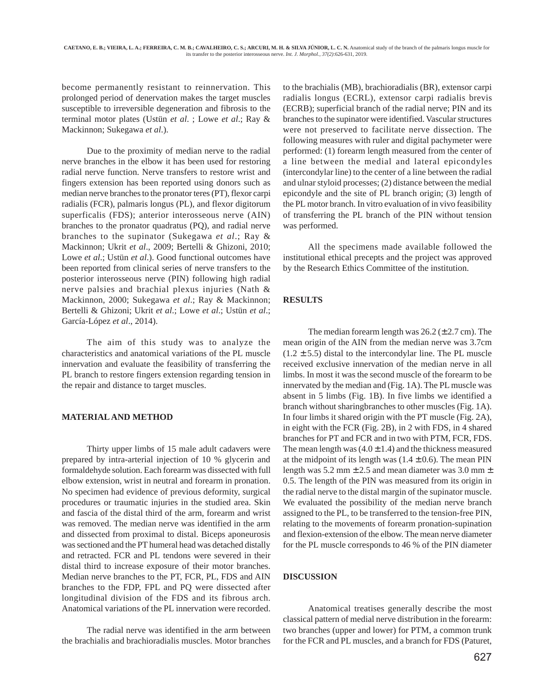become permanently resistant to reinnervation. This prolonged period of denervation makes the target muscles susceptible to irreversible degeneration and fibrosis to the terminal motor plates (Ustün *et al*. ; Lowe *et al*.; Ray & Mackinnon; Sukegawa *et al*.).

Due to the proximity of median nerve to the radial nerve branches in the elbow it has been used for restoring radial nerve function. Nerve transfers to restore wrist and fingers extension has been reported using donors such as median nerve branches to the pronator teres (PT), flexor carpi radialis (FCR), palmaris longus (PL), and flexor digitorum superficalis (FDS); anterior interosseous nerve (AIN) branches to the pronator quadratus (PQ), and radial nerve branches to the supinator (Sukegawa *et al*.; Ray & Mackinnon; Ukrit *et al*., 2009; Bertelli & Ghizoni, 2010; Lowe *et al*.; Ustün *et al*.). Good functional outcomes have been reported from clinical series of nerve transfers to the posterior interosseous nerve (PIN) following high radial nerve palsies and brachial plexus injuries (Nath & Mackinnon, 2000; Sukegawa *et al*.; Ray & Mackinnon; Bertelli & Ghizoni; Ukrit *et al*.; Lowe *et al*.; Ustün *et al*.; García-López *et al*., 2014).

The aim of this study was to analyze the characteristics and anatomical variations of the PL muscle innervation and evaluate the feasibility of transferring the PL branch to restore fingers extension regarding tension in the repair and distance to target muscles.

## **MATERIAL AND METHOD**

Thirty upper limbs of 15 male adult cadavers were prepared by intra-arterial injection of 10 % glycerin and formaldehyde solution. Each forearm was dissected with full elbow extension, wrist in neutral and forearm in pronation. No specimen had evidence of previous deformity, surgical procedures or traumatic injuries in the studied area. Skin and fascia of the distal third of the arm, forearm and wrist was removed. The median nerve was identified in the arm and dissected from proximal to distal. Biceps aponeurosis was sectioned and the PT humeral head was detached distally and retracted. FCR and PL tendons were severed in their distal third to increase exposure of their motor branches. Median nerve branches to the PT, FCR, PL, FDS and AIN branches to the FDP, FPL and PQ were dissected after longitudinal division of the FDS and its fibrous arch. Anatomical variations of the PL innervation were recorded.

The radial nerve was identified in the arm between the brachialis and brachioradialis muscles. Motor branches to the brachialis (MB), brachioradialis (BR), extensor carpi radialis longus (ECRL), extensor carpi radialis brevis (ECRB); superficial branch of the radial nerve; PIN and its branches to the supinator were identified. Vascular structures were not preserved to facilitate nerve dissection. The following measures with ruler and digital pachymeter were performed: (1) forearm length measured from the center of a line between the medial and lateral epicondyles (intercondylar line) to the center of a line between the radial and ulnar styloid processes; (2) distance between the medial epicondyle and the site of PL branch origin; (3) length of the PL motor branch. In vitro evaluation of in vivo feasibility of transferring the PL branch of the PIN without tension was performed.

All the specimens made available followed the institutional ethical precepts and the project was approved by the Research Ethics Committee of the institution.

## **RESULTS**

The median forearm length was  $26.2 \times 2.7$  cm). The mean origin of the AIN from the median nerve was 3.7cm  $(1.2 \pm 5.5)$  distal to the intercondylar line. The PL muscle received exclusive innervation of the median nerve in all limbs. In most it was the second muscle of the forearm to be innervated by the median and (Fig. 1A). The PL muscle was absent in 5 limbs (Fig. 1B). In five limbs we identified a branch without sharingbranches to other muscles (Fig. 1A). In four limbs it shared origin with the PT muscle (Fig. 2A), in eight with the FCR (Fig. 2B), in 2 with FDS, in 4 shared branches for PT and FCR and in two with PTM, FCR, FDS. The mean length was  $(4.0 \pm 1.4)$  and the thickness measured at the midpoint of its length was  $(1.4 \pm 0.6)$ . The mean PIN length was  $5.2$  mm  $\pm 2.5$  and mean diameter was  $3.0$  mm  $\pm$ 0.5. The length of the PIN was measured from its origin in the radial nerve to the distal margin of the supinator muscle. We evaluated the possibility of the median nerve branch assigned to the PL, to be transferred to the tension-free PIN, relating to the movements of forearm pronation-supination and flexion-extension of the elbow. The mean nerve diameter for the PL muscle corresponds to 46 % of the PIN diameter

## **DISCUSSION**

Anatomical treatises generally describe the most classical pattern of medial nerve distribution in the forearm: two branches (upper and lower) for PTM, a common trunk for the FCR and PL muscles, and a branch for FDS (Paturet,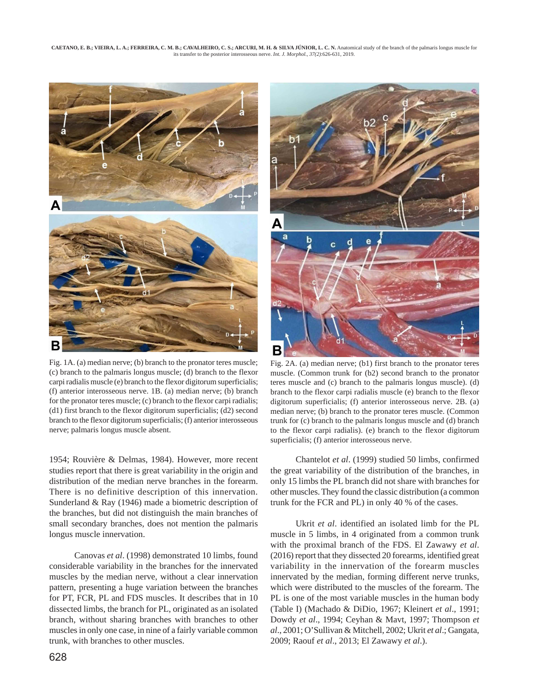**CAETANO, E. B.; VIEIRA, L. A.; FERREIRA, C. M. B.; CAVALHEIRO, C. S.; ARCURI, M. H. & SILVA JÚNIOR, L. C. N.** Anatomical study of the branch of the palmaris longus muscle for its transfer to the posterior interosseous nerve. *Int. J. Morphol., 37(2)*:626-631, 2019.



Fig. 1A. (a) median nerve; (b) branch to the pronator teres muscle; (c) branch to the palmaris longus muscle; (d) branch to the flexor carpi radialis muscle (e) branch to the flexor digitorum superficialis; (f) anterior interosseous nerve. 1B. (a) median nerve; (b) branch for the pronator teres muscle; (c) branch to the flexor carpi radialis; (d1) first branch to the flexor digitorum superficialis; (d2) second branch to the flexor digitorum superficialis; (f) anterior interosseous nerve; palmaris longus muscle absent.

1954; Rouvière & Delmas, 1984). However, more recent studies report that there is great variability in the origin and distribution of the median nerve branches in the forearm. There is no definitive description of this innervation. Sunderland & Ray (1946) made a biometric description of the branches, but did not distinguish the main branches of small secondary branches, does not mention the palmaris longus muscle innervation.

Canovas *et al*. (1998) demonstrated 10 limbs, found considerable variability in the branches for the innervated muscles by the median nerve, without a clear innervation pattern, presenting a huge variation between the branches for PT, FCR, PL and FDS muscles. It describes that in 10 dissected limbs, the branch for PL, originated as an isolated branch, without sharing branches with branches to other muscles in only one case, in nine of a fairly variable common trunk, with branches to other muscles.



Fig. 2A. (a) median nerve; (b1) first branch to the pronator teres muscle. (Common trunk for (b2) second branch to the pronator teres muscle and (c) branch to the palmaris longus muscle). (d) branch to the flexor carpi radialis muscle (e) branch to the flexor digitorum superficialis; (f) anterior interosseous nerve. 2B. (a) median nerve; (b) branch to the pronator teres muscle. (Common trunk for (c) branch to the palmaris longus muscle and (d) branch to the flexor carpi radialis). (e) branch to the flexor digitorum superficialis; (f) anterior interosseous nerve.

Chantelot *et al*. (1999) studied 50 limbs, confirmed the great variability of the distribution of the branches, in only 15 limbs the PL branch did not share with branches for other muscles. They found the classic distribution (a common trunk for the FCR and PL) in only 40 % of the cases.

Ukrit *et al*. identified an isolated limb for the PL muscle in 5 limbs, in 4 originated from a common trunk with the proximal branch of the FDS. El Zawawy *et al*. (2016) report that they dissected 20 forearms, identified great variability in the innervation of the forearm muscles innervated by the median, forming different nerve trunks, which were distributed to the muscles of the forearm. The PL is one of the most variable muscles in the human body (Table I) (Machado & DiDio, 1967; Kleinert *et al*., 1991; Dowdy *et al*., 1994; Ceyhan & Mavt, 1997; Thompson *et al*., 2001; O'Sullivan & Mitchell, 2002; Ukrit *et al*.; Gangata, 2009; Raouf *et al*., 2013; El Zawawy *et al*.).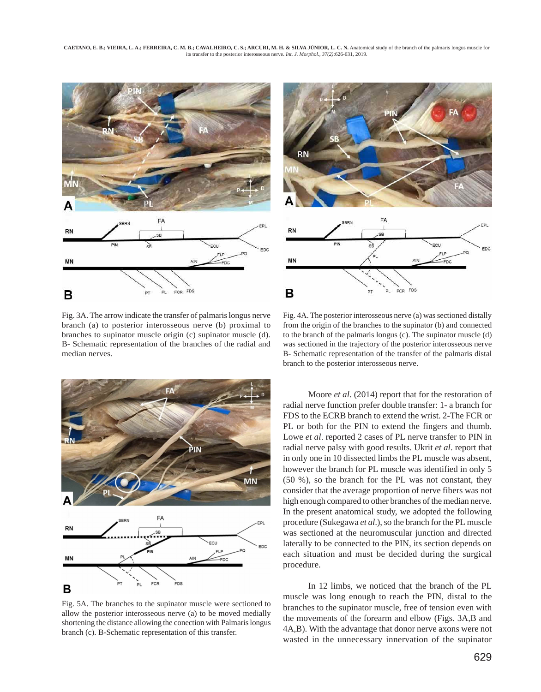**CAETANO, E. B.; VIEIRA, L. A.; FERREIRA, C. M. B.; CAVALHEIRO, C. S.; ARCURI, M. H. & SILVA JÚNIOR, L. C. N.** Anatomical study of the branch of the palmaris longus muscle for its transfer to the posterior interosseous nerve. *Int. J. Morphol., 37(2)*:626-631, 2019.





Fig. 3A. The arrow indicate the transfer of palmaris longus nerve branch (a) to posterior interosseous nerve (b) proximal to branches to supinator muscle origin (c) supinator muscle (d). B- Schematic representation of the branches of the radial and median nerves.



Fig. 5A. The branches to the supinator muscle were sectioned to allow the posterior interosseous nerve (a) to be moved medially shortening the distance allowing the conection with Palmaris longus branch (c). B-Schematic representation of this transfer.

Fig. 4A. The posterior interosseous nerve (a) was sectioned distally from the origin of the branches to the supinator (b) and connected to the branch of the palmaris longus (c). The supinator muscle (d) was sectioned in the trajectory of the posterior interosseous nerve B- Schematic representation of the transfer of the palmaris distal branch to the posterior interosseous nerve.

Moore *et al*. (2014) report that for the restoration of radial nerve function prefer double transfer: 1- a branch for FDS to the ECRB branch to extend the wrist. 2-The FCR or PL or both for the PIN to extend the fingers and thumb. Lowe *et al*. reported 2 cases of PL nerve transfer to PIN in radial nerve palsy with good results. Ukrit *et al*. report that in only one in 10 dissected limbs the PL muscle was absent, however the branch for PL muscle was identified in only 5 (50 %), so the branch for the PL was not constant, they consider that the average proportion of nerve fibers was not high enough compared to other branches of the median nerve. In the present anatomical study, we adopted the following procedure (Sukegawa *et al*.), so the branch for the PL muscle was sectioned at the neuromuscular junction and directed laterally to be connected to the PIN, its section depends on each situation and must be decided during the surgical procedure.

In 12 limbs, we noticed that the branch of the PL muscle was long enough to reach the PIN, distal to the branches to the supinator muscle, free of tension even with the movements of the forearm and elbow (Figs. 3A,B and 4A,B). With the advantage that donor nerve axons were not wasted in the unnecessary innervation of the supinator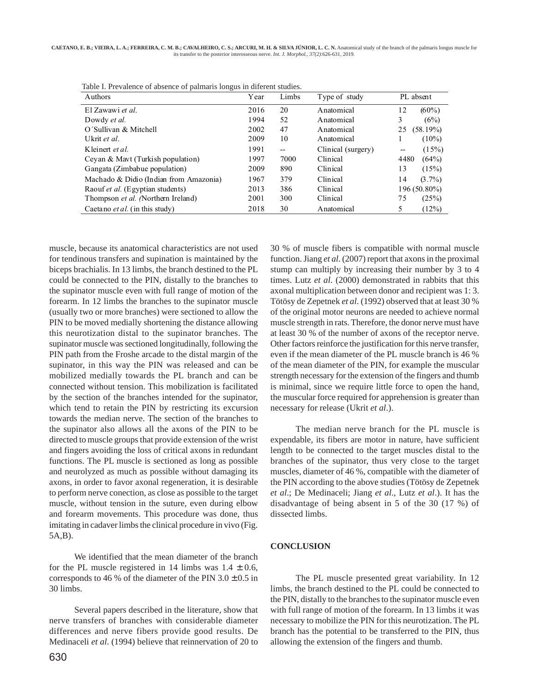| Authors                                   | Year | Limbs | Type of study      | PL absent         |
|-------------------------------------------|------|-------|--------------------|-------------------|
| El Zawawi et al.                          | 2016 | 20    | Anatomical         | 12<br>$(60\%)$    |
| Dowdy et al.                              | 1994 | 52    | Anatomical         | 3<br>(6%)         |
| O'Sullivan & Mitchell                     | 2002 | 47    | Anatomical         | $(58.19\%)$<br>25 |
| Ukrit et al.                              | 2009 | 10    | Anatomical         | $(10\%)$          |
| K leinert et al.                          | 1991 | $-$   | Clinical (surgery) | (15%)<br>--       |
| Ceyan & Mayt (Turkish population)         | 1997 | 7000  | Clinical           | 4480<br>(64%)     |
| Gangata (Zimbabue population)             | 2009 | 890   | Clinical           | 13<br>(15%)       |
| Machado & Didio (Indian from Amazonia)    | 1967 | 379   | Clinical           | $(3.7\%)$<br>14   |
| Raouf <i>et al.</i> (Egyptian students)   | 2013 | 386   | Clinical           | 196 (50.80%)      |
| Thompson <i>et al.</i> (Northern Ireland) | 2001 | 300   | Clinical           | (25%)<br>75       |
| Caetano <i>et al.</i> (in this study)     | 2018 | 30    | Anatomical         | (12%)<br>5        |

Table I. Prevalence of absence of palmaris longus in diferent studies.

muscle, because its anatomical characteristics are not used for tendinous transfers and supination is maintained by the biceps brachialis. In 13 limbs, the branch destined to the PL could be connected to the PIN, distally to the branches to the supinator muscle even with full range of motion of the forearm. In 12 limbs the branches to the supinator muscle (usually two or more branches) were sectioned to allow the PIN to be moved medially shortening the distance allowing this neurotization distal to the supinator branches. The supinator muscle was sectioned longitudinally, following the PIN path from the Froshe arcade to the distal margin of the supinator, in this way the PIN was released and can be mobilized medially towards the PL branch and can be connected without tension. This mobilization is facilitated by the section of the branches intended for the supinator, which tend to retain the PIN by restricting its excursion towards the median nerve. The section of the branches to the supinator also allows all the axons of the PIN to be directed to muscle groups that provide extension of the wrist and fingers avoiding the loss of critical axons in redundant functions. The PL muscle is sectioned as long as possible and neurolyzed as much as possible without damaging its axons, in order to favor axonal regeneration, it is desirable to perform nerve conection, as close as possible to the target muscle, without tension in the suture, even during elbow and forearm movements. This procedure was done, thus imitating in cadaver limbs the clinical procedure in vivo (Fig. 5A,B).

We identified that the mean diameter of the branch for the PL muscle registered in 14 limbs was  $1.4 \pm 0.6$ , corresponds to 46 % of the diameter of the PIN  $3.0 \pm 0.5$  in 30 limbs.

Several papers described in the literature, show that nerve transfers of branches with considerable diameter differences and nerve fibers provide good results. De Medinaceli *et al*. (1994) believe that reinnervation of 20 to 30 % of muscle fibers is compatible with normal muscle function. Jiang *et al*. (2007) report that axons in the proximal stump can multiply by increasing their number by 3 to 4 times. Lutz *et al*. (2000) demonstrated in rabbits that this axonal multiplication between donor and recipient was 1: 3. Tötösy de Zepetnek *et al*. (1992) observed that at least 30 % of the original motor neurons are needed to achieve normal muscle strength in rats. Therefore, the donor nerve must have at least 30 % of the number of axons of the receptor nerve. Other factors reinforce the justification for this nerve transfer, even if the mean diameter of the PL muscle branch is 46 % of the mean diameter of the PIN, for example the muscular strength necessary for the extension of the fingers and thumb is minimal, since we require little force to open the hand, the muscular force required for apprehension is greater than necessary for release (Ukrit *et al*.).

The median nerve branch for the PL muscle is expendable, its fibers are motor in nature, have sufficient length to be connected to the target muscles distal to the branches of the supinator, thus very close to the target muscles, diameter of 46 %, compatible with the diameter of the PIN according to the above studies (Tötösy de Zepetnek *et al*.; De Medinaceli; Jiang *et al*., Lutz *et al*.). It has the disadvantage of being absent in 5 of the 30 (17 %) of dissected limbs.

## **CONCLUSION**

The PL muscle presented great variability. In 12 limbs, the branch destined to the PL could be connected to the PIN, distally to the branches to the supinator muscle even with full range of motion of the forearm. In 13 limbs it was necessary to mobilize the PIN for this neurotization. The PL branch has the potential to be transferred to the PIN, thus allowing the extension of the fingers and thumb.